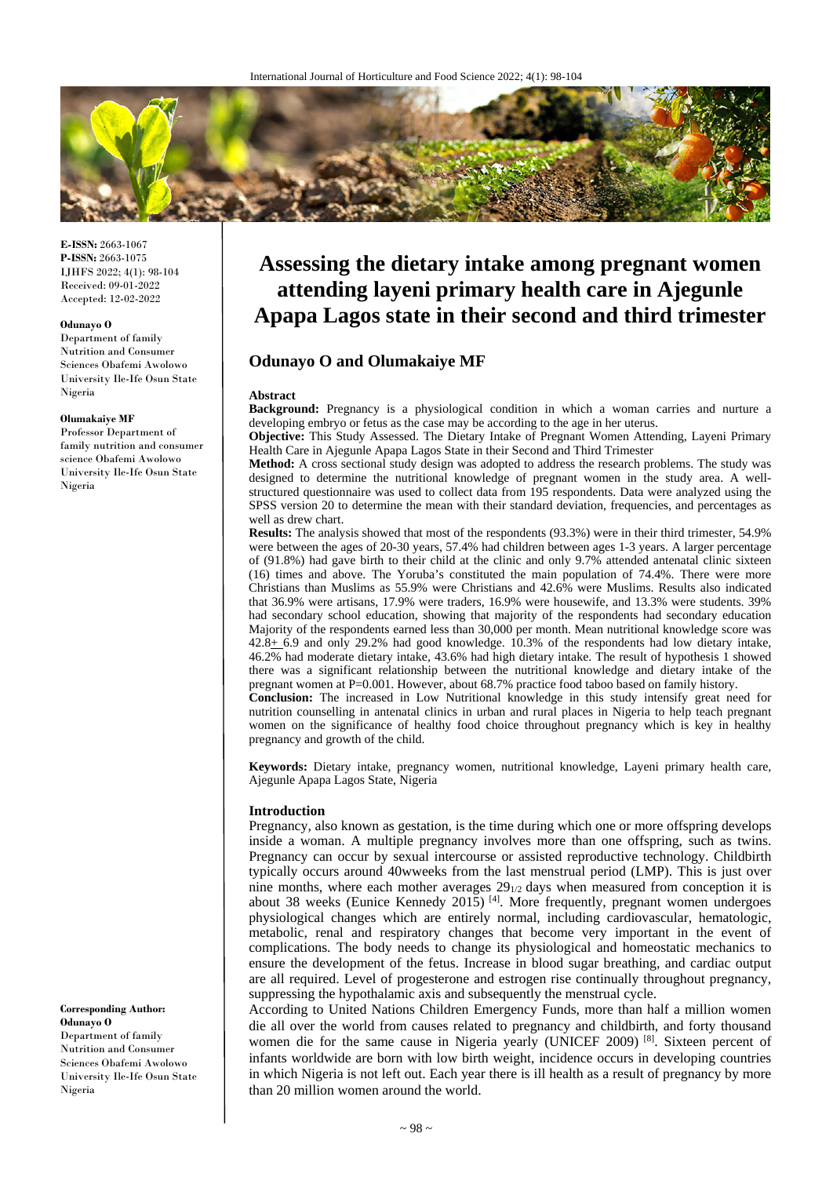

**E-ISSN:** 2663-1067 **P-ISSN:** 2663-1075 IJHFS 2022; 4(1): 98-104 Received: 09-01-2022 Accepted: 12-02-2022

#### **Odunayo O**

Department of family Nutrition and Consumer Sciences Obafemi Awolowo University Ile-Ife Osun State Nigeria

#### **Olumakaiye MF**

Professor Department of family nutrition and consumer science Obafemi Awolowo University Ile-Ife Osun State Nigeria

**Corresponding Author: Odunayo O** Department of family Nutrition and Consumer Sciences Obafemi Awolowo University Ile-Ife Osun State Nigeria

# **Assessing the dietary intake among pregnant women attending layeni primary health care in Ajegunle Apapa Lagos state in their second and third trimester**

# **Odunayo O and Olumakaiye MF**

#### **Abstract**

**Background:** Pregnancy is a physiological condition in which a woman carries and nurture a developing embryo or fetus as the case may be according to the age in her uterus.

**Objective:** This Study Assessed. The Dietary Intake of Pregnant Women Attending, Layeni Primary Health Care in Ajegunle Apapa Lagos State in their Second and Third Trimester

**Method:** A cross sectional study design was adopted to address the research problems. The study was designed to determine the nutritional knowledge of pregnant women in the study area. A wellstructured questionnaire was used to collect data from 195 respondents. Data were analyzed using the SPSS version 20 to determine the mean with their standard deviation, frequencies, and percentages as well as drew chart.

**Results:** The analysis showed that most of the respondents (93.3%) were in their third trimester, 54.9% were between the ages of 20-30 years, 57.4% had children between ages 1-3 years. A larger percentage of (91.8%) had gave birth to their child at the clinic and only 9.7% attended antenatal clinic sixteen (16) times and above. The Yoruba's constituted the main population of 74.4%. There were more Christians than Muslims as 55.9% were Christians and 42.6% were Muslims. Results also indicated that 36.9% were artisans, 17.9% were traders, 16.9% were housewife, and 13.3% were students. 39% had secondary school education, showing that majority of the respondents had secondary education Majority of the respondents earned less than 30,000 per month. Mean nutritional knowledge score was 42.8+ 6.9 and only 29.2% had good knowledge. 10.3% of the respondents had low dietary intake, 46.2% had moderate dietary intake, 43.6% had high dietary intake. The result of hypothesis 1 showed there was a significant relationship between the nutritional knowledge and dietary intake of the pregnant women at P=0.001. However, about 68.7% practice food taboo based on family history. **Conclusion:** The increased in Low Nutritional knowledge in this study intensify great need for

nutrition counselling in antenatal clinics in urban and rural places in Nigeria to help teach pregnant women on the significance of healthy food choice throughout pregnancy which is key in healthy pregnancy and growth of the child.

**Keywords:** Dietary intake, pregnancy women, nutritional knowledge, Layeni primary health care, Ajegunle Apapa Lagos State, Nigeria

### **Introduction**

Pregnancy, also known as gestation, is the time during which one or more offspring develops inside a woman. A multiple pregnancy involves more than one offspring, such as twins. Pregnancy can occur by sexual intercourse or assisted reproductive technology. Childbirth typically occurs around 40wweeks from the last menstrual period (LMP). This is just over nine months, where each mother averages  $29_{1/2}$  days when measured from conception it is about 38 weeks (Eunice Kennedy 2015)<sup>[4]</sup>. More frequently, pregnant women undergoes physiological changes which are entirely normal, including cardiovascular, hematologic, metabolic, renal and respiratory changes that become very important in the event of complications. The body needs to change its physiological and homeostatic mechanics to ensure the development of the fetus. Increase in blood sugar breathing, and cardiac output are all required. Level of progesterone and estrogen rise continually throughout pregnancy, suppressing the hypothalamic axis and subsequently the menstrual cycle.

According to United Nations Children Emergency Funds, more than half a million women die all over the world from causes related to pregnancy and childbirth, and forty thousand women die for the same cause in Nigeria yearly (UNICEF 2009)<sup>[8]</sup>. Sixteen percent of infants worldwide are born with low birth weight, incidence occurs in developing countries in which Nigeria is not left out. Each year there is ill health as a result of pregnancy by more than 20 million women around the world.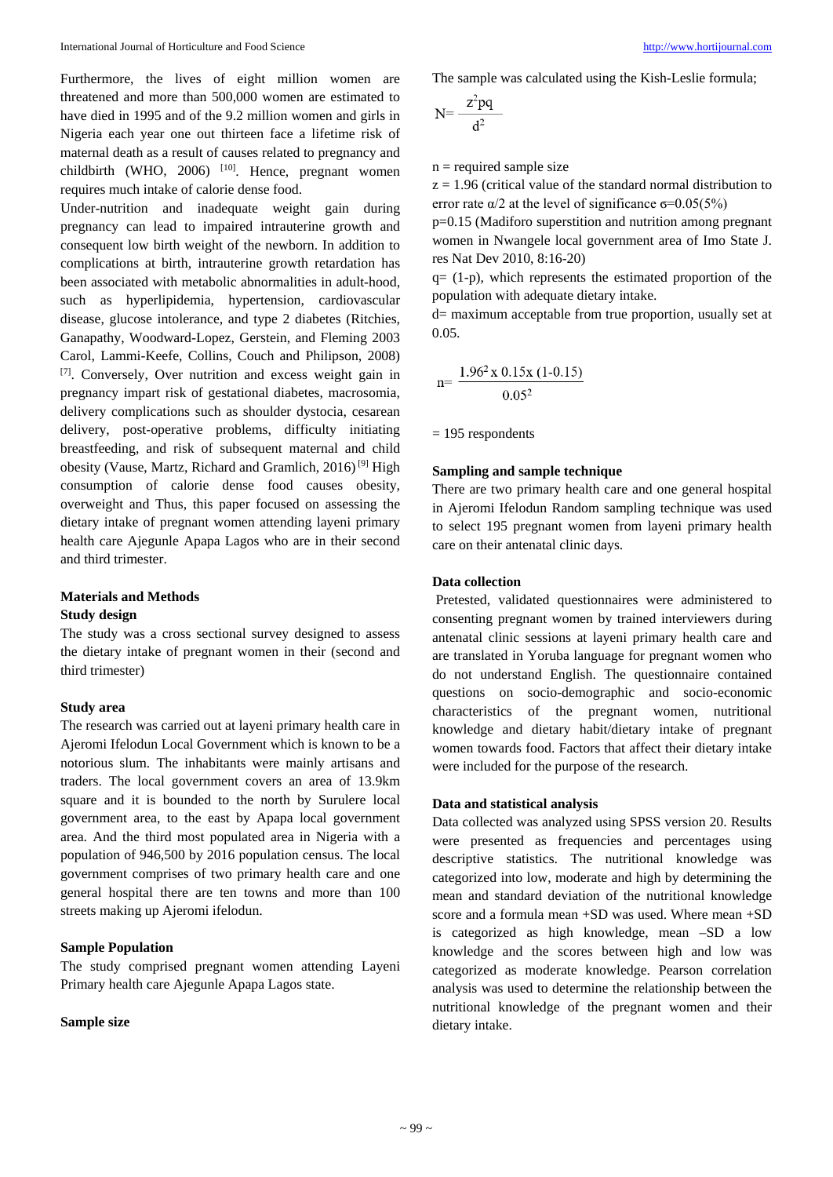Furthermore, the lives of eight million women are threatened and more than 500,000 women are estimated to have died in 1995 and of the 9.2 million women and girls in Nigeria each year one out thirteen face a lifetime risk of maternal death as a result of causes related to pregnancy and childbirth (WHO, 2006) <sup>[10]</sup>. Hence, pregnant women requires much intake of calorie dense food.

Under-nutrition and inadequate weight gain during pregnancy can lead to impaired intrauterine growth and consequent low birth weight of the newborn. In addition to complications at birth, intrauterine growth retardation has been associated with metabolic abnormalities in adult-hood, such as hyperlipidemia, hypertension, cardiovascular disease, glucose intolerance, and type 2 diabetes (Ritchies, Ganapathy, Woodward-Lopez, Gerstein, and Fleming 2003 Carol, Lammi-Keefe, Collins, Couch and Philipson, 2008) [7] . Conversely, Over nutrition and excess weight gain in pregnancy impart risk of gestational diabetes, macrosomia, delivery complications such as shoulder dystocia, cesarean delivery, post-operative problems, difficulty initiating breastfeeding, and risk of subsequent maternal and child obesity (Vause, Martz, Richard and Gramlich, 2016)<sup>[9]</sup> High consumption of calorie dense food causes obesity, overweight and Thus, this paper focused on assessing the dietary intake of pregnant women attending layeni primary health care Ajegunle Apapa Lagos who are in their second and third trimester.

# **Materials and Methods Study design**

The study was a cross sectional survey designed to assess the dietary intake of pregnant women in their (second and third trimester)

# **Study area**

The research was carried out at layeni primary health care in Ajeromi Ifelodun Local Government which is known to be a notorious slum. The inhabitants were mainly artisans and traders. The local government covers an area of 13.9km square and it is bounded to the north by Surulere local government area, to the east by Apapa local government area. And the third most populated area in Nigeria with a population of 946,500 by 2016 population census. The local government comprises of two primary health care and one general hospital there are ten towns and more than 100 streets making up Ajeromi ifelodun.

# **Sample Population**

The study comprised pregnant women attending Layeni Primary health care Ajegunle Apapa Lagos state.

# **Sample size**

The sample was calculated using the Kish-Leslie formula;

$$
N = \frac{z^2 pq}{d^2}
$$

 $n =$  required sample size

 $z = 1.96$  (critical value of the standard normal distribution to error rate  $\alpha/2$  at the level of significance  $\sigma$ =0.05(5%)

p=0.15 (Madiforo superstition and nutrition among pregnant women in Nwangele local government area of Imo State J. res Nat Dev 2010, 8:16-20)

 $q = (1-p)$ , which represents the estimated proportion of the population with adequate dietary intake.

d= maximum acceptable from true proportion, usually set at 0.05.

$$
n = \frac{1.96^2 \times 0.15 \times (1 - 0.15)}{0.05^2}
$$

= 195 respondents

# **Sampling and sample technique**

There are two primary health care and one general hospital in Ajeromi Ifelodun Random sampling technique was used to select 195 pregnant women from layeni primary health care on their antenatal clinic days.

# **Data collection**

Pretested, validated questionnaires were administered to consenting pregnant women by trained interviewers during antenatal clinic sessions at layeni primary health care and are translated in Yoruba language for pregnant women who do not understand English. The questionnaire contained questions on socio-demographic and socio-economic characteristics of the pregnant women, nutritional knowledge and dietary habit/dietary intake of pregnant women towards food. Factors that affect their dietary intake were included for the purpose of the research.

# **Data and statistical analysis**

Data collected was analyzed using SPSS version 20. Results were presented as frequencies and percentages using descriptive statistics. The nutritional knowledge was categorized into low, moderate and high by determining the mean and standard deviation of the nutritional knowledge score and a formula mean +SD was used. Where mean +SD is categorized as high knowledge, mean –SD a low knowledge and the scores between high and low was categorized as moderate knowledge. Pearson correlation analysis was used to determine the relationship between the nutritional knowledge of the pregnant women and their dietary intake.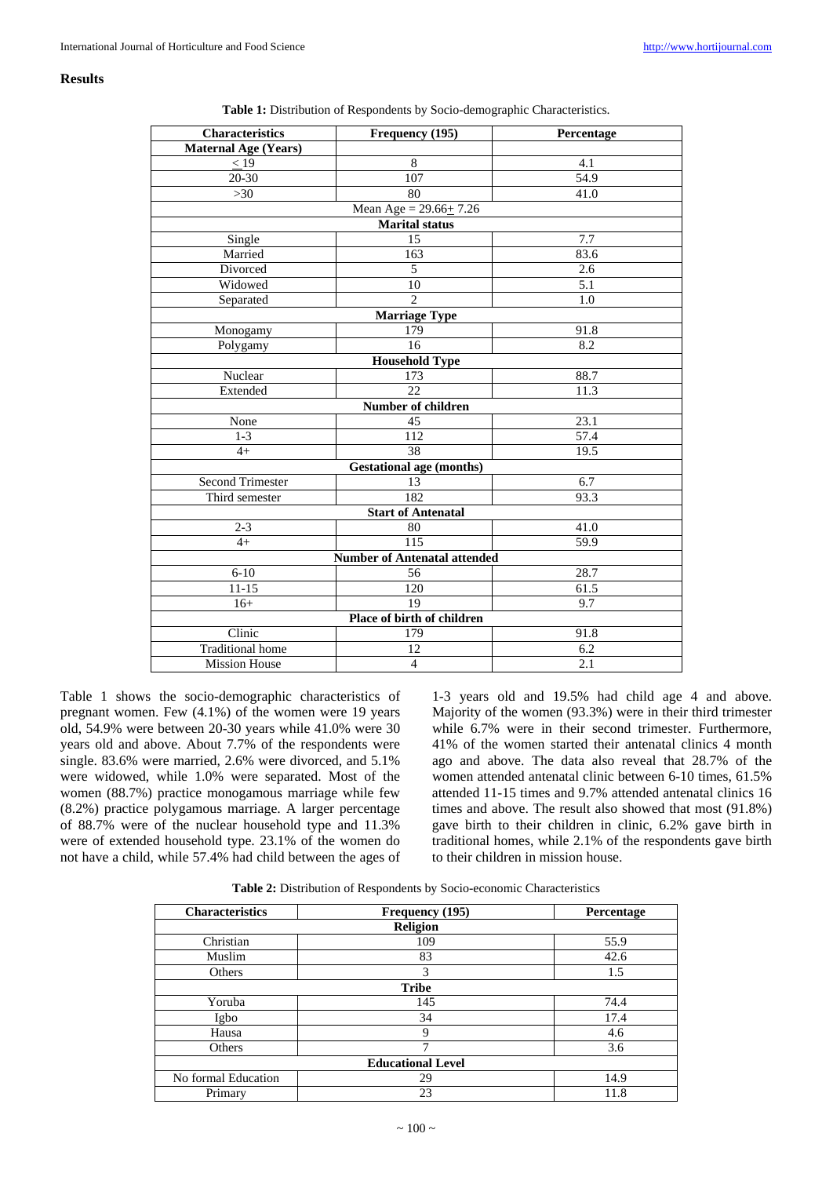# **Results**

| <b>Characteristics</b>      | Frequency (195)                     | Percentage        |
|-----------------------------|-------------------------------------|-------------------|
| <b>Maternal Age (Years)</b> |                                     |                   |
| $\leq$ 19                   | 8                                   | 4.1               |
| 20-30                       | 107                                 | 54.9              |
| >30                         | 80                                  | 41.0              |
|                             | Mean Age = $29.66 \pm 7.26$         |                   |
|                             | <b>Marital status</b>               |                   |
| Single                      | 15                                  | 7.7               |
| Married                     | 163                                 | 83.6              |
| Divorced                    | 5                                   | 2.6               |
| Widowed                     | 10                                  | 5.1               |
| Separated                   | $\overline{2}$                      | 1.0               |
|                             | <b>Marriage Type</b>                |                   |
| Monogamy                    | 179                                 | 91.8              |
| Polygamy                    | 16                                  | 8.2               |
|                             | <b>Household Type</b>               |                   |
| Nuclear                     | 173                                 | 88.7              |
| Extended                    | 22                                  | 11.3              |
|                             | <b>Number of children</b>           |                   |
| None                        | 45                                  | 23.1              |
| $1 - 3$                     | $\overline{112}$                    | $\overline{57.4}$ |
| $4+$                        | 38                                  | 19.5              |
|                             | <b>Gestational age (months)</b>     |                   |
| <b>Second Trimester</b>     | 13                                  | 6.7               |
| Third semester              | 182                                 | 93.3              |
|                             | <b>Start of Antenatal</b>           |                   |
| $2 - 3$                     | 80                                  | 41.0              |
| $4+$                        | 115                                 | 59.9              |
|                             | <b>Number of Antenatal attended</b> |                   |
| $6 - 10$                    | 56                                  | 28.7              |
| $11 - 15$                   | 120                                 | 61.5              |
| $16+$                       | 19                                  | 9.7               |
|                             | Place of birth of children          |                   |
| Clinic                      | 179                                 | 91.8              |
| <b>Traditional</b> home     | 12                                  | $6.2\,$           |
| <b>Mission House</b>        | $\overline{4}$                      | 2.1               |

**Table 1:** Distribution of Respondents by Socio-demographic Characteristics.

Table 1 shows the socio-demographic characteristics of pregnant women. Few (4.1%) of the women were 19 years old, 54.9% were between 20-30 years while 41.0% were 30 years old and above. About 7.7% of the respondents were single. 83.6% were married, 2.6% were divorced, and 5.1% were widowed, while 1.0% were separated. Most of the women (88.7%) practice monogamous marriage while few (8.2%) practice polygamous marriage. A larger percentage of 88.7% were of the nuclear household type and 11.3% were of extended household type. 23.1% of the women do not have a child, while 57.4% had child between the ages of

1-3 years old and 19.5% had child age 4 and above. Majority of the women (93.3%) were in their third trimester while 6.7% were in their second trimester. Furthermore, 41% of the women started their antenatal clinics 4 month ago and above. The data also reveal that 28.7% of the women attended antenatal clinic between 6-10 times, 61.5% attended 11-15 times and 9.7% attended antenatal clinics 16 times and above. The result also showed that most (91.8%) gave birth to their children in clinic, 6.2% gave birth in traditional homes, while 2.1% of the respondents gave birth to their children in mission house.

**Table 2:** Distribution of Respondents by Socio-economic Characteristics

| <b>Characteristics</b> | Frequency (195)          | Percentage |
|------------------------|--------------------------|------------|
|                        | <b>Religion</b>          |            |
| Christian              | 109                      | 55.9       |
| Muslim                 | 83                       | 42.6       |
| Others                 | 3                        | 1.5        |
|                        | <b>Tribe</b>             |            |
| Yoruba                 | 145                      | 74.4       |
| Igbo                   | 34                       | 17.4       |
| Hausa                  | 9                        | 4.6        |
| Others                 | 7                        | 3.6        |
|                        | <b>Educational Level</b> |            |
| No formal Education    | 29                       | 14.9       |
| Primary                | 23                       | 11.8       |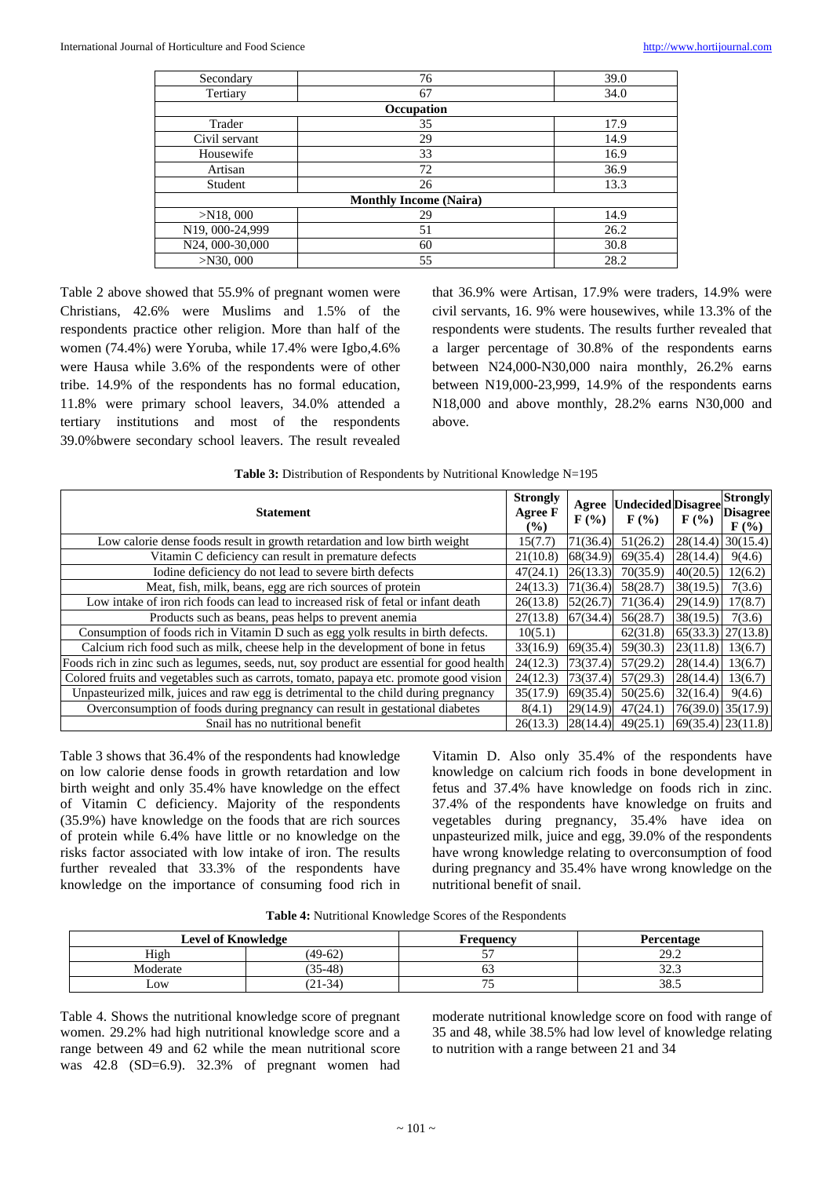| Secondary                     | 76         | 39.0 |  |  |  |  |  |
|-------------------------------|------------|------|--|--|--|--|--|
| Tertiary                      | 67         |      |  |  |  |  |  |
|                               | Occupation |      |  |  |  |  |  |
| Trader                        | 35         | 17.9 |  |  |  |  |  |
| Civil servant                 | 29         | 14.9 |  |  |  |  |  |
| Housewife                     | 33         | 16.9 |  |  |  |  |  |
| Artisan                       | 72         | 36.9 |  |  |  |  |  |
| Student                       | 26         | 13.3 |  |  |  |  |  |
| <b>Monthly Income (Naira)</b> |            |      |  |  |  |  |  |
| $>$ N18, 000                  | 29         | 14.9 |  |  |  |  |  |
| N19, 000-24,999               | 51         | 26.2 |  |  |  |  |  |
| N24, 000-30,000               | 60         | 30.8 |  |  |  |  |  |
| $>$ N30, 000                  | 55         | 28.2 |  |  |  |  |  |

Table 2 above showed that 55.9% of pregnant women were Christians, 42.6% were Muslims and 1.5% of the respondents practice other religion. More than half of the women (74.4%) were Yoruba, while 17.4% were Igbo,4.6% were Hausa while 3.6% of the respondents were of other tribe. 14.9% of the respondents has no formal education, 11.8% were primary school leavers, 34.0% attended a tertiary institutions and most of the respondents 39.0%bwere secondary school leavers. The result revealed

that 36.9% were Artisan, 17.9% were traders, 14.9% were civil servants, 16. 9% were housewives, while 13.3% of the respondents were students. The results further revealed that a larger percentage of 30.8% of the respondents earns between N24,000-N30,000 naira monthly, 26.2% earns between N19,000-23,999, 14.9% of the respondents earns N18,000 and above monthly, 28.2% earns N30,000 and above.

| Table 3: Distribution of Respondents by Nutritional Knowledge N=195 |  |  |
|---------------------------------------------------------------------|--|--|
|                                                                     |  |  |

| <b>Strongly</b><br><b>Statement</b>                                                       |          | $\mathbf{F}(\mathcal{V}_0)$ | Agree   Undecided   Disagree  <br>$\mathbf{F}(\mathcal{V}_0)$ | $F(\%)$  | <b>Strongly</b><br><b>Disagree</b><br>$\mathbf{F}$ (%) |
|-------------------------------------------------------------------------------------------|----------|-----------------------------|---------------------------------------------------------------|----------|--------------------------------------------------------|
| Low calorie dense foods result in growth retardation and low birth weight                 | 15(7.7)  | 71(36.4)                    | 51(26.2)                                                      |          | $28(14.4)$ 30(15.4)                                    |
| Vitamin C deficiency can result in premature defects                                      | 21(10.8) | 68(34.9)                    | 69(35.4)                                                      | 28(14.4) | 9(4.6)                                                 |
| Iodine deficiency do not lead to severe birth defects                                     | 47(24.1) | 26(13.3)                    | 70(35.9)                                                      | 40(20.5) | 12(6.2)                                                |
| Meat, fish, milk, beans, egg are rich sources of protein                                  | 24(13.3) | 71(36.4)                    | 58(28.7)                                                      | 38(19.5) | 7(3.6)                                                 |
| Low intake of iron rich foods can lead to increased risk of fetal or infant death         | 26(13.8) | 52(26.7)                    | 71(36.4)                                                      | 29(14.9) | 17(8.7)                                                |
| Products such as beans, peas helps to prevent anemia                                      | 27(13.8) | 67(34.4)                    | 56(28.7)                                                      | 38(19.5) | 7(3.6)                                                 |
| Consumption of foods rich in Vitamin D such as egg yolk results in birth defects.         | 10(5.1)  |                             | 62(31.8)                                                      |          | $65(33.3)$ 27(13.8)                                    |
| Calcium rich food such as milk, cheese help in the development of bone in fetus           | 33(16.9) | 69(35.4)                    | 59(30.3)                                                      | 23(11.8) | 13(6.7)                                                |
| Foods rich in zinc such as legumes, seeds, nut, soy product are essential for good health | 24(12.3) | 73(37.4)                    | 57(29.2)                                                      | 28(14.4) | 13(6.7)                                                |
| Colored fruits and vegetables such as carrots, tomato, papaya etc. promote good vision    | 24(12.3) | 73(37.4)                    | 57(29.3)                                                      | 28(14.4) | 13(6.7)                                                |
| Unpasteurized milk, juices and raw egg is detrimental to the child during pregnancy       | 35(17.9) | 69(35.4)                    | 50(25.6)                                                      | 32(16.4) | 9(4.6)                                                 |
| Overconsumption of foods during pregnancy can result in gestational diabetes              | 8(4.1)   | 29(14.9)                    | 47(24.1)                                                      |          | $76(39.0)$ 35(17.9)                                    |
| Snail has no nutritional benefit                                                          | 26(13.3) | 28(14.4)                    | 49(25.1)                                                      |          | $69(35.4)$ $23(11.8)$                                  |

Table 3 shows that 36.4% of the respondents had knowledge on low calorie dense foods in growth retardation and low birth weight and only 35.4% have knowledge on the effect of Vitamin C deficiency. Majority of the respondents (35.9%) have knowledge on the foods that are rich sources of protein while 6.4% have little or no knowledge on the risks factor associated with low intake of iron. The results further revealed that 33.3% of the respondents have knowledge on the importance of consuming food rich in

Vitamin D. Also only 35.4% of the respondents have knowledge on calcium rich foods in bone development in fetus and 37.4% have knowledge on foods rich in zinc. 37.4% of the respondents have knowledge on fruits and vegetables during pregnancy, 35.4% have idea on unpasteurized milk, juice and egg, 39.0% of the respondents have wrong knowledge relating to overconsumption of food during pregnancy and 35.4% have wrong knowledge on the nutritional benefit of snail.

| Table 4: Nutritional Knowledge Scores of the Respondents |  |
|----------------------------------------------------------|--|
|----------------------------------------------------------|--|

| <b>Level of Knowledge</b> |           | Frequency | Percentage             |
|---------------------------|-----------|-----------|------------------------|
| High                      | $(49-62)$ | --        | 292<br>41.L            |
| Moderate                  | $5 - 48$  | ິ         | $\sim$ $\sim$<br>ر…ے ر |
| $\sim$ OW                 | $(21-34)$ | $- -$     | 38.5                   |

Table 4. Shows the nutritional knowledge score of pregnant women. 29.2% had high nutritional knowledge score and a range between 49 and 62 while the mean nutritional score was 42.8 (SD=6.9). 32.3% of pregnant women had

moderate nutritional knowledge score on food with range of 35 and 48, while 38.5% had low level of knowledge relating to nutrition with a range between 21 and 34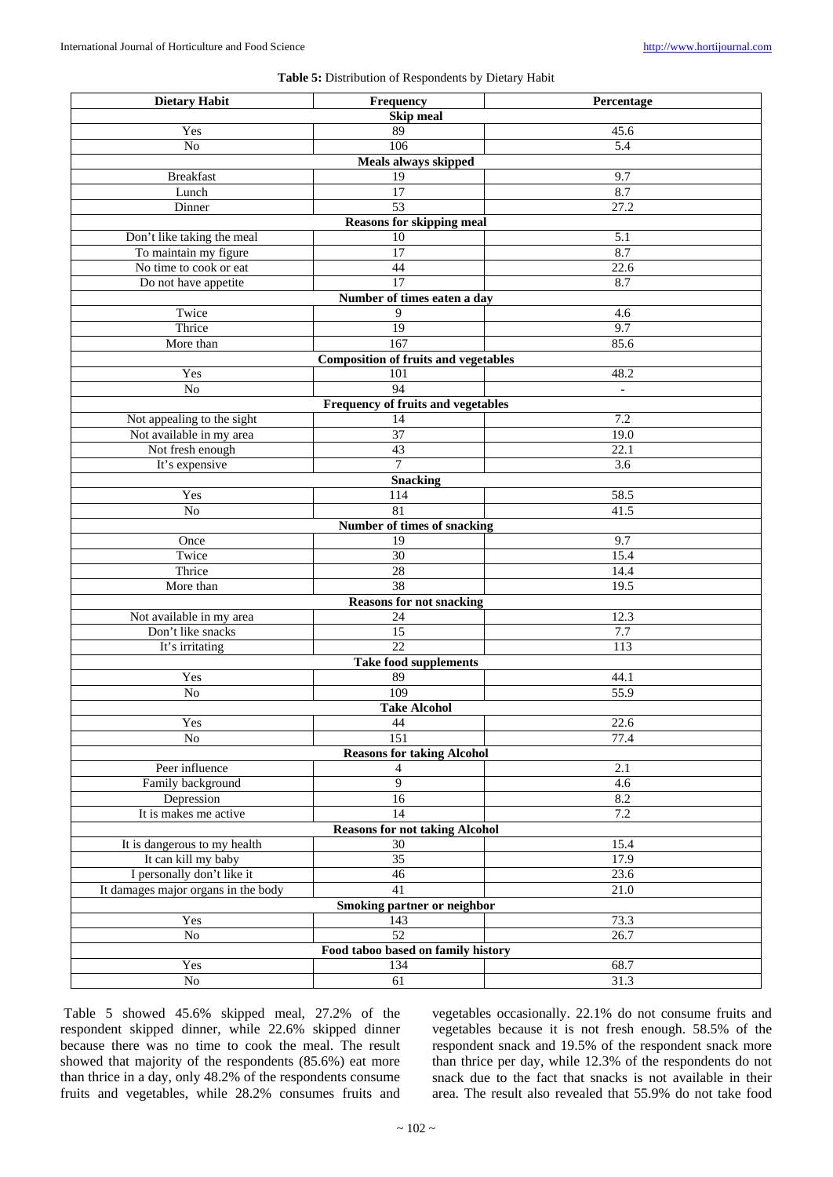# **Table 5:** Distribution of Respondents by Dietary Habit

| <b>Dietary Habit</b>                | Frequency                                   | Percentage        |
|-------------------------------------|---------------------------------------------|-------------------|
|                                     | <b>Skip meal</b>                            |                   |
| Yes                                 | 89                                          | 45.6              |
| No                                  | 106                                         | $\overline{5.4}$  |
|                                     | Meals always skipped                        |                   |
| <b>Breakfast</b>                    | 19                                          | 9.7               |
| Lunch                               | $\overline{17}$                             | 8.7               |
| Dinner                              | 53                                          | 27.2              |
|                                     | <b>Reasons for skipping meal</b>            |                   |
|                                     | 10                                          | 5.1               |
| Don't like taking the meal          |                                             | 8.7               |
| To maintain my figure               | 17                                          |                   |
| No time to cook or eat              | 44                                          | 22.6              |
| Do not have appetite                | 17                                          | 8.7               |
|                                     | Number of times eaten a day                 |                   |
| Twice                               | 9                                           | 4.6               |
| Thrice                              | $\overline{19}$                             | 9.7               |
| More than                           | 167                                         | 85.6              |
|                                     | <b>Composition of fruits and vegetables</b> |                   |
| Yes                                 | 101                                         | 48.2              |
| $\rm No$                            | 94                                          | $\mathbb{L}$      |
|                                     | <b>Frequency of fruits and vegetables</b>   |                   |
| Not appealing to the sight          | 14                                          | 7.2               |
| Not available in my area            | $\overline{37}$                             | 19.0              |
| Not fresh enough                    | 43                                          | $\overline{22.1}$ |
| It's expensive                      | $\overline{7}$                              | $\overline{3.6}$  |
|                                     | <b>Snacking</b>                             |                   |
| Yes                                 | 114                                         | 58.5              |
| $\rm No$                            | 81                                          | 41.5              |
|                                     | Number of times of snacking                 |                   |
| Once                                | 19                                          | 9.7               |
| Twice                               | 30                                          | 15.4              |
| Thrice                              | $\overline{28}$                             | 14.4              |
| More than                           | $\overline{38}$                             | 19.5              |
|                                     |                                             |                   |
| Not available in my area            | <b>Reasons for not snacking</b>             | 12.3              |
|                                     | 24                                          |                   |
| Don't like snacks                   | 15<br>$\overline{22}$                       | 7.7               |
| It's irritating                     |                                             | $\overline{113}$  |
|                                     | <b>Take food supplements</b>                |                   |
| Yes                                 | 89                                          | 44.1              |
| No                                  | 109                                         | $\overline{55.9}$ |
|                                     | <b>Take Alcohol</b>                         |                   |
| Yes                                 | 44                                          | 22.6              |
| $\rm No$                            | $\overline{151}$                            | 77.4              |
|                                     | <b>Reasons for taking Alcohol</b>           |                   |
| Peer influence                      | 4                                           | 2.1               |
| Family background                   | $\overline{9}$                              | 4.6               |
| Depression                          | 16                                          | 8.2               |
| It is makes me active               | 14                                          | $7.2\,$           |
|                                     | <b>Reasons for not taking Alcohol</b>       |                   |
| It is dangerous to my health        | 30                                          | 15.4              |
| It can kill my baby                 | $\overline{35}$                             | 17.9              |
| I personally don't like it          | 46                                          | 23.6              |
| It damages major organs in the body | $\overline{41}$                             | 21.0              |
|                                     | Smoking partner or neighbor                 |                   |
| Yes                                 | 143                                         | 73.3              |
| No                                  | $\overline{52}$                             | 26.7              |
|                                     | Food taboo based on family history          |                   |
| Yes                                 | 134                                         | 68.7              |
|                                     | 61                                          | 31.3              |
| $\rm No$                            |                                             |                   |

Table 5 showed 45.6% skipped meal, 27.2% of the respondent skipped dinner, while 22.6% skipped dinner because there was no time to cook the meal. The result showed that majority of the respondents (85.6%) eat more than thrice in a day, only 48.2% of the respondents consume fruits and vegetables, while 28.2% consumes fruits and

vegetables occasionally. 22.1% do not consume fruits and vegetables because it is not fresh enough. 58.5% of the respondent snack and 19.5% of the respondent snack more than thrice per day, while 12.3% of the respondents do not snack due to the fact that snacks is not available in their area. The result also revealed that 55.9% do not take food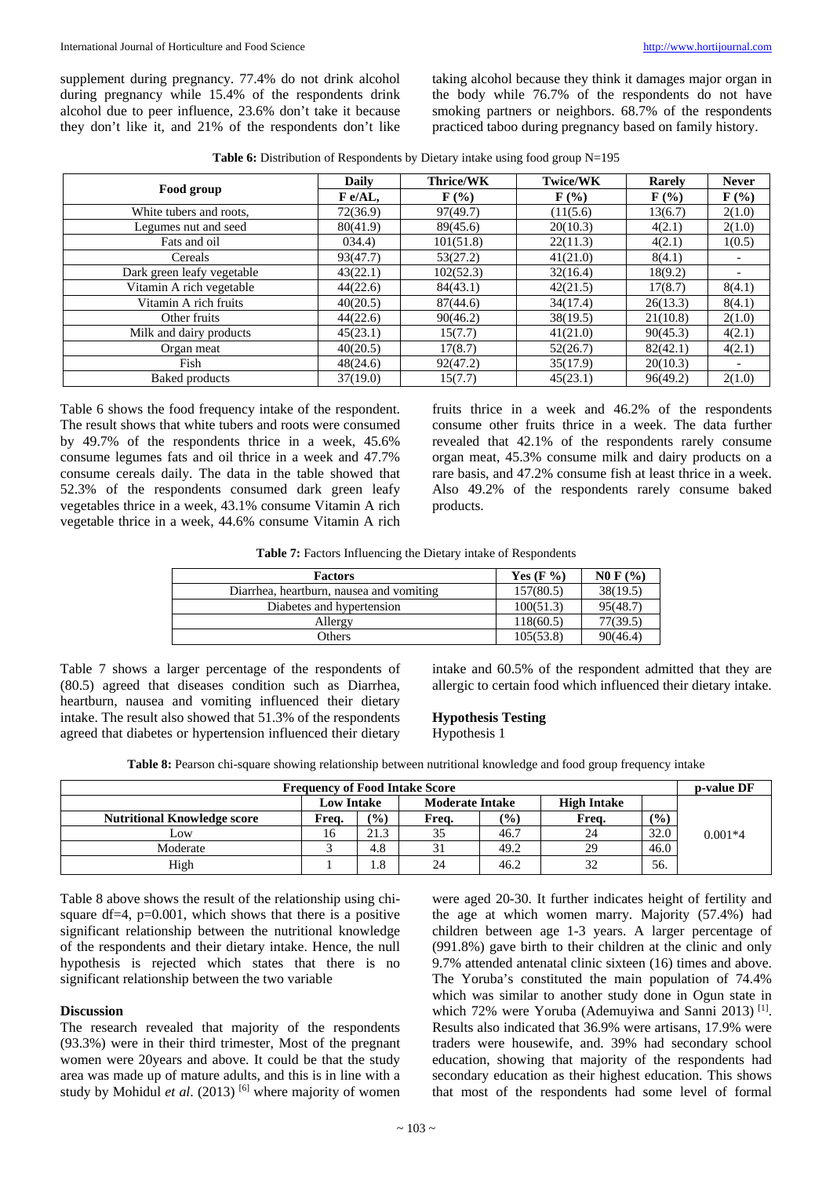supplement during pregnancy. 77.4% do not drink alcohol during pregnancy while 15.4% of the respondents drink alcohol due to peer influence, 23.6% don't take it because they don't like it, and 21% of the respondents don't like

taking alcohol because they think it damages major organ in the body while 76.7% of the respondents do not have smoking partners or neighbors. 68.7% of the respondents practiced taboo during pregnancy based on family history.

**Table 6:** Distribution of Respondents by Dietary intake using food group N=195

|                            | <b>Daily</b> | <b>Thrice/WK</b>            | <b>Twice/WK</b>             | Rarely           | <b>Never</b>     |
|----------------------------|--------------|-----------------------------|-----------------------------|------------------|------------------|
| Food group                 | $F$ e/AL,    | $\mathbf{F}(\mathcal{V}_0)$ | $\mathbf{F}(\mathcal{V}_0)$ | $\mathbf{F}$ (%) | $\mathbf{F}$ (%) |
| White tubers and roots,    | 72(36.9)     | 97(49.7)                    | (11(5.6)                    | 13(6.7)          | 2(1.0)           |
| Legumes nut and seed       | 80(41.9)     | 89(45.6)                    | 20(10.3)                    | 4(2.1)           | 2(1.0)           |
| Fats and oil               | 034.4)       | 101(51.8)                   | 22(11.3)                    | 4(2.1)           | 1(0.5)           |
| Cereals                    | 93(47.7)     | 53(27.2)                    | 41(21.0)                    | 8(4.1)           |                  |
| Dark green leafy vegetable | 43(22.1)     | 102(52.3)                   | 32(16.4)                    | 18(9.2)          |                  |
| Vitamin A rich vegetable   | 44(22.6)     | 84(43.1)                    | 42(21.5)                    | 17(8.7)          | 8(4.1)           |
| Vitamin A rich fruits      | 40(20.5)     | 87(44.6)                    | 34(17.4)                    | 26(13.3)         | 8(4.1)           |
| Other fruits               | 44(22.6)     | 90(46.2)                    | 38(19.5)                    | 21(10.8)         | 2(1.0)           |
| Milk and dairy products    | 45(23.1)     | 15(7.7)                     | 41(21.0)                    | 90(45.3)         | 4(2.1)           |
| Organ meat                 | 40(20.5)     | 17(8.7)                     | 52(26.7)                    | 82(42.1)         | 4(2.1)           |
| Fish                       | 48(24.6)     | 92(47.2)                    | 35(17.9)                    | 20(10.3)         |                  |
| <b>Baked products</b>      | 37(19.0)     | 15(7.7)                     | 45(23.1)                    | 96(49.2)         | 2(1.0)           |

Table 6 shows the food frequency intake of the respondent. The result shows that white tubers and roots were consumed by 49.7% of the respondents thrice in a week, 45.6% consume legumes fats and oil thrice in a week and 47.7% consume cereals daily. The data in the table showed that 52.3% of the respondents consumed dark green leafy vegetables thrice in a week, 43.1% consume Vitamin A rich vegetable thrice in a week, 44.6% consume Vitamin A rich

fruits thrice in a week and 46.2% of the respondents consume other fruits thrice in a week. The data further revealed that 42.1% of the respondents rarely consume organ meat, 45.3% consume milk and dairy products on a rare basis, and 47.2% consume fish at least thrice in a week. Also 49.2% of the respondents rarely consume baked products.

**Table 7:** Factors Influencing the Dietary intake of Respondents

| <b>Factors</b>                           | Yes $(F \mathcal{V}_0)$ | NO F (%) |
|------------------------------------------|-------------------------|----------|
| Diarrhea, heartburn, nausea and vomiting | 157(80.5)               | 38(19.5) |
| Diabetes and hypertension                | 100(51.3)               | 95(48.7) |
| Allergy                                  | 118(60.5)               | 77(39.5) |
| Others                                   | 105(53.8)               | 90(46.4) |

Table 7 shows a larger percentage of the respondents of (80.5) agreed that diseases condition such as Diarrhea, heartburn, nausea and vomiting influenced their dietary intake. The result also showed that 51.3% of the respondents agreed that diabetes or hypertension influenced their dietary intake and 60.5% of the respondent admitted that they are allergic to certain food which influenced their dietary intake.

### **Hypothesis Testing**

Hypothesis 1

**Table 8:** Pearson chi-square showing relationship between nutritional knowledge and food group frequency intake

| <b>Frequency of Food Intake Score</b>                             |       |               |       | <b>p-value DF</b> |       |        |           |
|-------------------------------------------------------------------|-------|---------------|-------|-------------------|-------|--------|-----------|
| <b>Low Intake</b><br><b>Moderate Intake</b><br><b>High Intake</b> |       |               |       |                   |       |        |           |
| <b>Nutritional Knowledge score</b>                                | Frea. | $\frac{1}{2}$ | Frea. | $\frac{(0)}{0}$   | Frea. | $($ %) |           |
| Low                                                               | 16    | 21.3          | 35    | 46.7              | 24    | 32.0   | $0.001*4$ |
| Moderate                                                          |       | 4.8           |       | 49.2              | 29    | 46.0   |           |
| High                                                              |       | 1.8           | 24    | 46.2              | 32    | 56.    |           |

Table 8 above shows the result of the relationship using chisquare df=4,  $p=0.001$ , which shows that there is a positive significant relationship between the nutritional knowledge of the respondents and their dietary intake. Hence, the null hypothesis is rejected which states that there is no significant relationship between the two variable

# **Discussion**

The research revealed that majority of the respondents (93.3%) were in their third trimester, Most of the pregnant women were 20years and above. It could be that the study area was made up of mature adults, and this is in line with a study by Mohidul *et al.* (2013)<sup>[6]</sup> where majority of women

were aged 20-30. It further indicates height of fertility and the age at which women marry. Majority (57.4%) had children between age 1-3 years. A larger percentage of (991.8%) gave birth to their children at the clinic and only 9.7% attended antenatal clinic sixteen (16) times and above. The Yoruba's constituted the main population of 74.4% which was similar to another study done in Ogun state in which 72% were Yoruba (Ademuyiwa and Sanni 2013)<sup>[1]</sup>. Results also indicated that 36.9% were artisans, 17.9% were traders were housewife, and. 39% had secondary school education, showing that majority of the respondents had secondary education as their highest education. This shows that most of the respondents had some level of formal